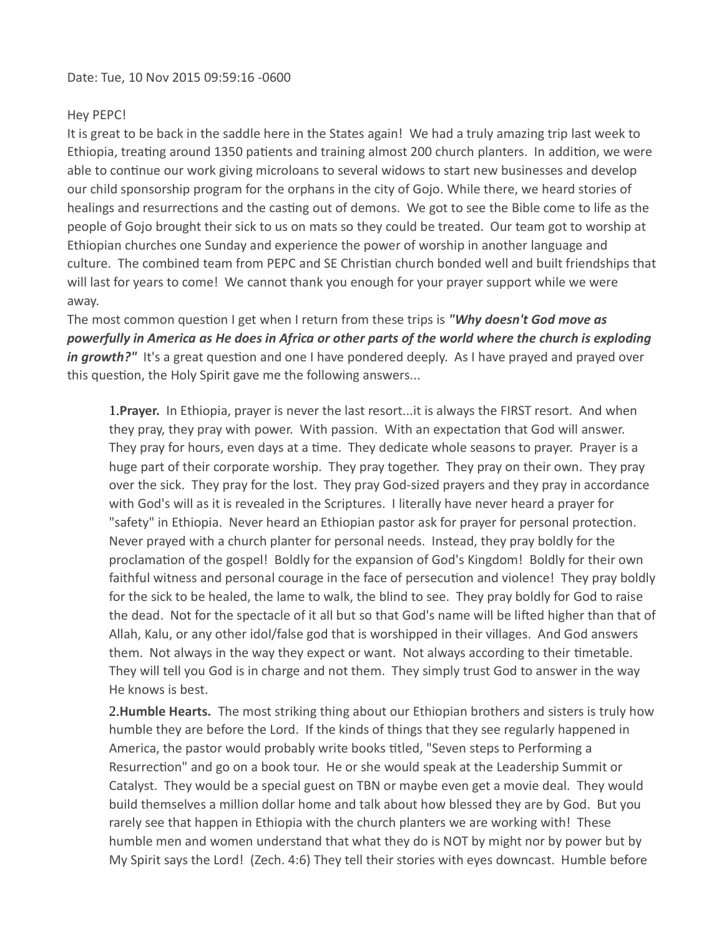## Hey PEPC!

It is great to be back in the saddle here in the States again! We had a truly amazing trip last week to Ethiopia, treating around 1350 patients and training almost 200 church planters. In addition, we were able to continue our work giving microloans to several widows to start new businesses and develop our child sponsorship program for the orphans in the city of Gojo. While there, we heard stories of healings and resurrections and the casting out of demons. We got to see the Bible come to life as the people of Gojo brought their sick to us on mats so they could be treated. Our team got to worship at Ethiopian churches one Sunday and experience the power of worship in another language and culture. The combined team from PEPC and SE Christian church bonded well and built friendships that will last for years to come! We cannot thank you enough for your prayer support while we were away.

The most common question I get when I return from these trips is "Why doesn't God move as powerfully in America as He does in Africa or other parts of the world where the church is exploding in growth?" It's a great question and one I have pondered deeply. As I have prayed and prayed over this question, the Holy Spirit gave me the following answers...

1. Prayer. In Ethiopia, prayer is never the last resort... it is always the FIRST resort. And when they pray, they pray with power. With passion. With an expectation that God will answer. They pray for hours, even days at a time. They dedicate whole seasons to prayer. Prayer is a huge part of their corporate worship. They pray together. They pray on their own. They pray over the sick. They pray for the lost. They pray God-sized prayers and they pray in accordance with God's will as it is revealed in the Scriptures. I literally have never heard a prayer for "safety" in Ethiopia. Never heard an Ethiopian pastor ask for prayer for personal protection. Never prayed with a church planter for personal needs. Instead, they pray boldly for the proclamation of the gospel! Boldly for the expansion of God's Kingdom! Boldly for their own faithful witness and personal courage in the face of persecution and violence! They pray boldly for the sick to be healed, the lame to walk, the blind to see. They pray boldly for God to raise the dead. Not for the spectacle of it all but so that God's name will be lifted higher than that of Allah, Kalu, or any other idol/false god that is worshipped in their villages. And God answers them. Not always in the way they expect or want. Not always according to their timetable. They will tell you God is in charge and not them. They simply trust God to answer in the way He knows is best.

2. Humble Hearts. The most striking thing about our Ethiopian brothers and sisters is truly how humble they are before the Lord. If the kinds of things that they see regularly happened in America, the pastor would probably write books titled, "Seven steps to Performing a Resurrection" and go on a book tour. He or she would speak at the Leadership Summit or Catalyst. They would be a special guest on TBN or maybe even get a movie deal. They would build themselves a million dollar home and talk about how blessed they are by God. But you rarely see that happen in Ethiopia with the church planters we are working with! These humble men and women understand that what they do is NOT by might nor by power but by My Spirit says the Lord! (Zech. 4:6) They tell their stories with eyes downcast. Humble before